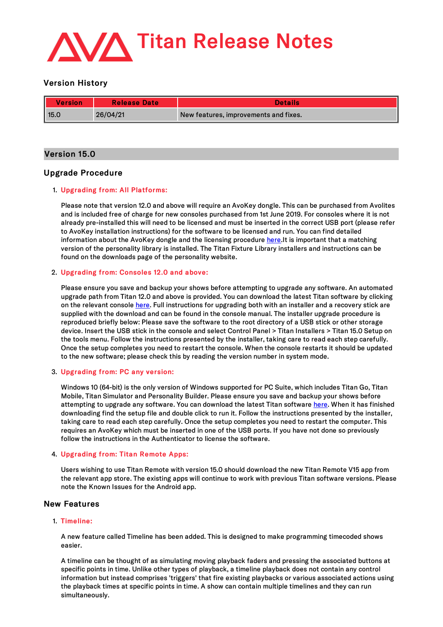

# Version History

| Version | <b>Release Date</b> | Details                               |
|---------|---------------------|---------------------------------------|
| 15.0    | 26/04/21            | New features, improvements and fixes. |

# Version 15.0

# Upgrade Procedure

# 1. Upgrading from: All Platforms:

Please note that version 12.0 and above will require an AvoKey dongle. This can be purchased from Avolites and is included free of charge for new consoles purchased from 1st June 2019. For consoles where it is not already pre-installed this will need to be licensed and must be inserted in the correct USB port (please refer to AvoKey installation instructions) for the software to be licensed and run. You can find detailed information about the AvoKey dongle and the licensing procedure [here](https://www.avolites.com/avokey).It is important that a matching version of the personality library is installed. The Titan Fixture Library installers and instructions can be found on the downloads page of the personality website.

# 2. Upgrading from: Consoles 12.0 and above:

Please ensure you save and backup your shows before attempting to upgrade any software. An automated upgrade path from Titan 12.0 and above is provided. You can download the latest Titan software by clicking on the relevant console [here](http://www.avolites.com/software/latest-version). Full instructions for upgrading both with an installer and a recovery stick are supplied with the download and can be found in the console manual. The installer upgrade procedure is reproduced briefly below: Please save the software to the root directory of a USB stick or other storage device. Insert the USB stick in the console and select Control Panel > Titan Installers > Titan 15.0 Setup on the tools menu. Follow the instructions presented by the installer, taking care to read each step carefully. Once the setup completes you need to restart the console. When the console restarts it should be updated to the new software; please check this by reading the version number in system mode.

# 3. Upgrading from: PC any version:

Windows 10 (64-bit) is the only version of Windows supported for PC Suite, which includes Titan Go, Titan Mobile, Titan Simulator and Personality Builder. Please ensure you save and backup your shows before attempting to upgrade any software. You can download the latest Titan software [here](http://www.avolites.com/software/latest-version). When it has finished downloading find the setup file and double click to run it. Follow the instructions presented by the installer, taking care to read each step carefully. Once the setup completes you need to restart the computer. This requires an AvoKey which must be inserted in one of the USB ports. If you have not done so previously follow the instructions in the Authenticator to license the software.

# 4. Upgrading from: Titan Remote Apps:

Users wishing to use Titan Remote with version 15.0 should download the new Titan Remote V15 app from the relevant app store. The existing apps will continue to work with previous Titan software versions. Please note the Known Issues for the Android app.

# New Features

# 1. Timeline:

A new feature called Timeline has been added. This is designed to make programming timecoded shows easier.

A timeline can be thought of as simulating moving playback faders and pressing the associated buttons at specific points in time. Unlike other types of playback, a timeline playback does not contain any control information but instead comprises 'triggers' that fire existing playbacks or various associated actions using the playback times at specific points in time. A show can contain multiple timelines and they can run simultaneously.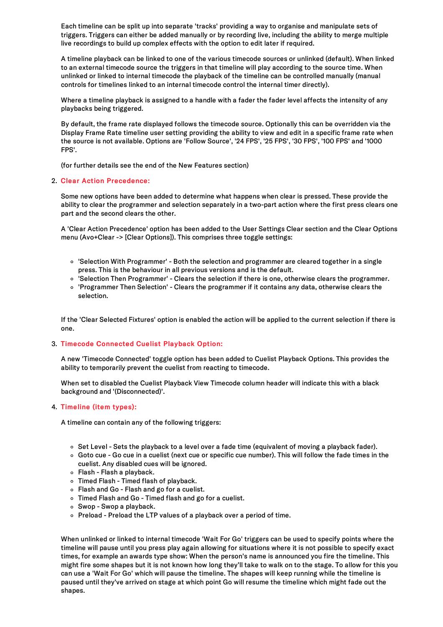Each timeline can be split up into separate 'tracks' providing a way to organise and manipulate sets of triggers. Triggers can either be added manually or by recording live, including the ability to merge multiple live recordings to build up complex effects with the option to edit later if required.

A timeline playback can be linked to one of the various timecode sources or unlinked (default). When linked to an external timecode source the triggers in that timeline will play according to the source time. When unlinked or linked to internal timecode the playback of the timeline can be controlled manually (manual controls for timelines linked to an internal timecode control the internal timer directly).

Where a timeline playback is assigned to a handle with a fader the fader level affects the intensity of any playbacks being triggered.

By default, the frame rate displayed follows the timecode source. Optionally this can be overridden via the Display Frame Rate timeline user setting providing the ability to view and edit in a specific frame rate when the source is not available. Options are 'Follow Source', '24 FPS', '25 FPS', '30 FPS', '100 FPS' and '1000 FPS'.

(for further details see the end of the New Features section)

## 2. Clear Action Precedence:

Some new options have been added to determine what happens when clear is pressed. These provide the ability to clear the programmer and selection separately in a two-part action where the first press clears one part and the second clears the other.

A 'Clear Action Precedence' option has been added to the User Settings Clear section and the Clear Options menu (Avo+Clear -> [Clear Options]). This comprises three toggle settings:

- 'Selection With Programmer' Both the selection and programmer are cleared together in a single press. This is the behaviour in all previous versions and is the default.
- 'Selection Then Programmer' Clears the selection if there is one, otherwise clears the programmer.
- 'Programmer Then Selection' Clears the programmer if it contains any data, otherwise clears the selection.

If the 'Clear Selected Fixtures' option is enabled the action will be applied to the current selection if there is one.

## 3. Timecode Connected Cuelist Playback Option:

A new 'Timecode Connected' toggle option has been added to Cuelist Playback Options. This provides the ability to temporarily prevent the cuelist from reacting to timecode.

When set to disabled the Cuelist Playback View Timecode column header will indicate this with a black background and '(Disconnected)'.

# 4. Timeline (item types):

A timeline can contain any of the following triggers:

- $\circ$  Set Level Sets the playback to a level over a fade time (equivalent of moving a playback fader).
- Goto cue Go cue in a cuelist (next cue or specific cue number). This will follow the fade times in the cuelist. Any disabled cues will be ignored.
- $\circ$  Flash Flash a playback.
- Timed Flash Timed flash of playback.
- Flash and Go Flash and go for a cuelist.
- Timed Flash and Go Timed flash and go for a cuelist.
- $\circ$  Swop Swop a playback.
- o Preload Preload the LTP values of a playback over a period of time.

When unlinked or linked to internal timecode 'Wait For Go' triggers can be used to specify points where the timeline will pause untilyou press play again allowing for situations where it is not possible to specify exact times, for example an awards type show: When the person's name is announced you fire the timeline. This might fire some shapes but it is not known how long they'll take to walk on to the stage. To allow for this you can use a 'Wait For Go' which will pause the timeline. The shapes will keep running while the timeline is paused until they've arrived on stage at which point Go will resume the timeline which might fade out the shapes.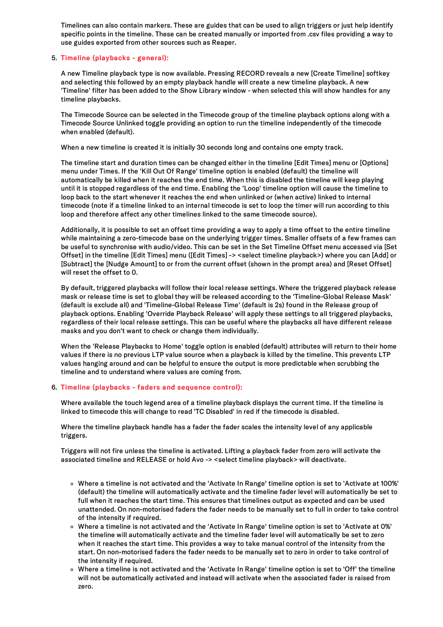Timelines can also contain markers. These are guides that can be used to align triggers or just help identify specific points in the timeline. These can be created manually or imported from .csv files providing a way to use guides exported from other sources such as Reaper.

## 5. Timeline (playbacks - general):

A new Timeline playback type is now available. Pressing RECORD reveals a new [Create Timeline] softkey and selecting this followed by an empty playback handle will create a new timeline playback. A new 'Timeline' filter has been added to the Show Library window - when selected this will show handles for any timeline playbacks.

The Timecode Source can be selected in the Timecode group of the timeline playback options along with a Timecode Source Unlinked toggle providing an option to run the timeline independently of the timecode when enabled (default).

When a new timeline is created it is initially 30 seconds long and contains one empty track.

The timeline start and duration times can be changed either in the timeline [Edit Times] menu or [Options] menu under Times. If the 'Kill Out Of Range' timeline option is enabled (default) the timeline will automatically be killed when it reaches the end time. When this is disabled the timeline will keep playing until it is stopped regardless of the end time. Enabling the 'Loop' timeline option will cause the timeline to loop back to the start whenever it reaches the end when unlinked or (when active) linked to internal timecode (note if a timeline linked to an internal timecode is set to loop the timer will run according to this loop and therefore affect any other timelines linked to the same timecode source).

Additionally, it is possible to set an offset time providing a way to apply a time offset to the entire timeline while maintaining a zero-timecode base on the underlying trigger times. Smaller offsets of a few frames can be useful to synchronise with audio/video. This can be set in the Set Timeline Offset menu accessed via [Set Offset] in the timeline [Edit Times] menu ([Edit Times] -> <select timeline playback>) where you can [Add] or [Subtract] the [Nudge Amount] to or from the current offset (shown in the prompt area) and [Reset Offset] will reset the offset to 0.

By default, triggered playbacks will follow their local release settings. Where the triggered playback release mask or release time is set to global they will be released according to the 'Timeline-Global Release Mask' (default is exclude all) and 'Timeline-Global Release Time' (default is 2s) found in the Release group of playback options. Enabling 'Override Playback Release' will apply these settings to all triggered playbacks, regardless of their local release settings. This can be useful where the playbacks all have different release masks and you don't want to check or change them individually.

When the 'Release Playbacks to Home' toggle option is enabled (default) attributes will return to their home values if there is no previous LTP value source when a playback is killed by the timeline. This prevents LTP values hanging around and can be helpful to ensure the output is more predictable when scrubbing the timeline and to understand where values are coming from.

# 6. Timeline (playbacks - faders and sequence control):

Where available the touch legend area of a timeline playback displays the current time. If the timeline is linked to timecode this will change to read 'TC Disabled' in red if the timecode is disabled.

Where the timeline playback handle has a fader the fader scales the intensity level of any applicable triggers.

Triggers will not fire unless the timeline is activated. Lifting a playback fader from zero will activate the associated timeline and RELEASE or hold Avo -> <select timeline playback> will deactivate.

- Where a timeline is not activated and the 'Activate In Range' timeline option is set to 'Activate at 100%' (default) the timeline will automatically activate and the timeline fader level will automatically be set to full when it reaches the start time. This ensures that timelines output as expected and can be used unattended. On non-motorised faders the fader needs to be manually set to full in order to take control of the intensity if required.
- Where a timeline is not activated and the 'Activate In Range' timeline option is set to 'Activate at 0%' the timeline will automatically activate and the timeline fader level will automatically be set to zero when it reaches the start time. This provides a way to take manual control of the intensity from the start. On non-motorised faders the fader needs to be manually set to zero in order to take control of the intensity if required.
- Where a timeline is not activated and the 'Activate In Range' timeline option is set to 'Off' the timeline will not be automatically activated and instead will activate when the associated fader is raised from zero.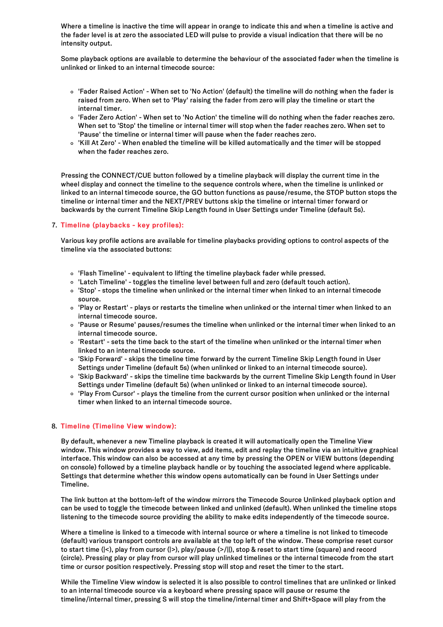Where a timeline is inactive the time will appear in orange to indicate this and when a timeline is active and the fader level is at zero the associated LED will pulse to provide a visual indication that there will be no intensity output.

Some playback options are available to determine the behaviour of the associated fader when the timeline is unlinked or linked to an internal timecode source:

- 'Fader Raised Action' When set to 'No Action' (default) the timeline will do nothing when the fader is raised from zero. When set to 'Play' raising the fader from zero will play the timeline or start the internal timer.
- 'Fader Zero Action' When set to 'No Action' the timeline will do nothing when the fader reaches zero. When set to 'Stop' the timeline or internal timer willstop when the fader reaches zero. When set to 'Pause' the timeline or internal timer will pause when the fader reaches zero.
- 'Kill At Zero' When enabled the timeline will be killed automatically and the timer will be stopped when the fader reaches zero.

Pressing the CONNECT/CUE button followed by a timeline playback will display the current time in the wheel display and connect the timeline to the sequence controls where, when the timeline is unlinked or linked to an internal timecode source, the GO button functions as pause/resume, the STOP button stops the timeline or internal timer and the NEXT/PREV buttons skip the timeline or internal timer forward or backwards by the current Timeline Skip Length found in User Settings under Timeline (default 5s).

## 7. Timeline (playbacks - key profiles):

Various key profile actions are available for timeline playbacks providing options to control aspects of the timeline via the associated buttons:

- 'Flash Timeline' equivalent to lifting the timeline playback fader while pressed.
- 'Latch Timeline' toggles the timeline level between full and zero (default touch action).
- 'Stop' stops the timeline when unlinked or the internal timer when linked to an internal timecode source.
- 'Play or Restart' plays or restarts the timeline when unlinked or the internal timer when linked to an internal timecode source.
- 'Pause or Resume' pauses/resumes the timeline when unlinked or the internal timer when linked to an internal timecode source.
- 'Restart' sets the time back to the start of the timeline when unlinked or the internal timer when linked to an internal timecode source.
- 'Skip Forward' skips the timeline time forward by the current Timeline Skip Length found in User Settings under Timeline (default 5s) (when unlinked or linked to an internal timecode source).
- 'Skip Backward' skips the timeline time backwards by the current Timeline Skip Length found in User Settings under Timeline (default 5s) (when unlinked or linked to an internal timecode source).
- 'Play From Cursor' plays the timeline from the current cursor position when unlinked or the internal timer when linked to an internal timecode source.

## 8. Timeline (Timeline View window):

By default, whenever a new Timeline playback is created it will automatically open the Timeline View window. This window provides a way to view, add items, edit and replay the timeline via an intuitive graphical interface. This window can also be accessed at any time by pressing the OPEN or VIEW buttons (depending on console) followed by a timeline playback handle or by touching the associated legend where applicable. Settings that determine whether this window opens automatically can be found in User Settings under Timeline.

The link button at the bottom-left of the window mirrors the Timecode Source Unlinked playback option and can be used to toggle the timecode between linked and unlinked (default). When unlinked the timeline stops listening to the timecode source providing the ability to make edits independently of the timecode source.

Where a timeline is linked to a timecode with internal source or where a timeline is not linked to timecode (default) various transport controls are available at the top left of the window. These comprise reset cursor to start time (|<), play from cursor (|>), play/pause (>/||), stop & reset to start time (square) and record (circle). Pressing play or play from cursor will play unlinked timelines or the internal timecode from the start time or cursor position respectively. Pressing stop will stop and reset the timer to the start.

While the Timeline View window is selected it is also possible to control timelines that are unlinked or linked to an internal timecode source via a keyboard where pressing space will pause or resume the timeline/internal timer, pressing S will stop the timeline/internal timer and Shift+Space will play from the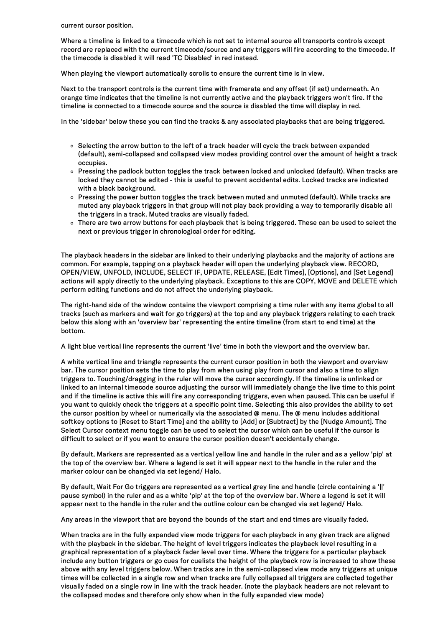current cursor position.

Where a timeline is linked to a timecode which is not set to internal source all transports controls except record are replaced with the current timecode/source and any triggers will fire according to the timecode. If the timecode is disabled it will read 'TC Disabled' in red instead.

When playing the viewport automatically scrolls to ensure the current time is in view.

Next to the transport controls is the current time with framerate and any offset (if set) underneath. An orange time indicates that the timeline is not currently active and the playback triggers won't fire. If the timeline is connected to a timecode source and the source is disabled the time will display in red.

In the 'sidebar' below these you can find the tracks & any associated playbacks that are being triggered.

- o Selecting the arrow button to the left of a track header will cycle the track between expanded (default), semi-collapsed and collapsed view modes providing control over the amount of height a track occupies.
- o Pressing the padlock button toggles the track between locked and unlocked (default). When tracks are locked they cannot be edited - this is useful to prevent accidental edits. Locked tracks are indicated with a black background.
- o Pressing the power button toggles the track between muted and unmuted (default). While tracks are muted any playback triggers in that group will not play back providing a way to temporarily disable all the triggers in a track. Muted tracks are visually faded.
- o There are two arrow buttons for each playback that is being triggered. These can be used to select the next or previous trigger in chronological order for editing.

The playback headers in the sidebar are linked to their underlying playbacks and the majority of actions are common. For example, tapping on a playback header will open the underlying playback view. RECORD, OPEN/VIEW, UNFOLD, INCLUDE, SELECT IF, UPDATE, RELEASE, [Edit Times], [Options], and [Set Legend] actions will apply directly to the underlying playback. Exceptions to this are COPY, MOVE and DELETE which perform editing functions and do not affect the underlying playback.

The right-hand side of the window contains the viewport comprising a time ruler with any items global to all tracks (such as markers and wait for go triggers) at the top and any playback triggers relating to each track below this along with an 'overview bar' representing the entire timeline (from start to end time) at the bottom.

A light blue vertical line represents the current 'live' time in both the viewport and the overview bar.

A white vertical line and triangle represents the current cursor position in both the viewport and overview bar. The cursor position sets the time to play from when using play from cursor and also a time to align triggers to. Touching/dragging in the ruler will move the cursor accordingly. If the timeline is unlinked or linked to an internal timecode source adjusting the cursor will immediately change the live time to this point and if the timeline is active this will fire any corresponding triggers, even when paused. This can be useful if you want to quickly check the triggers at a specific point time. Selecting this also provides the ability to set the cursor position by wheel or numerically via the associated @ menu. The @ menu includes additional softkey options to [Reset to Start Time] and the ability to [Add] or [Subtract] by the [Nudge Amount]. The Select Cursor context menu toggle can be used to select the cursor which can be useful if the cursor is difficult to select or if you want to ensure the cursor position doesn't accidentally change.

By default, Markers are represented as a verticalyellow line and handle in the ruler and as a yellow 'pip' at the top of the overview bar. Where a legend is set it will appear next to the handle in the ruler and the marker colour can be changed via set legend/ Halo.

By default, Wait For Go triggers are represented as a vertical grey line and handle (circle containing a '||' pause symbol) in the ruler and as a white 'pip' at the top of the overview bar. Where a legend is set it will appear next to the handle in the ruler and the outline colour can be changed via set legend/ Halo.

Any areas in the viewport that are beyond the bounds of the start and end times are visually faded.

When tracks are in the fully expanded view mode triggers for each playback in any given track are aligned with the playback in the sidebar. The height of level triggers indicates the playback level resulting in a graphical representation of a playback fader level over time. Where the triggers for a particular playback include any button triggers or go cues for cuelists the height of the playback row is increased to show these above with any level triggers below. When tracks are in the semi-collapsed view mode any triggers at unique times will be collected in a single row and when tracks are fully collapsed all triggers are collected together visually faded on a single row in line with the track header. (note the playback headers are not relevant to the collapsed modes and therefore only show when in the fully expanded view mode)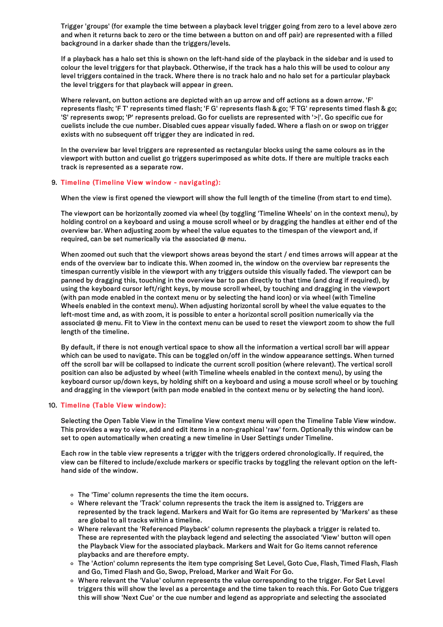Trigger 'groups' (for example the time between a playback level trigger going from zero to a level above zero and when it returns back to zero or the time between a button on and off pair) are represented with a filled background in a darker shade than the triggers/levels.

If a playback has a halo set this is shown on the left-hand side of the playback in the sidebar and is used to colour the level triggers for that playback. Otherwise, if the track has a halo this will be used to colour any level triggers contained in the track. Where there is no track halo and no halo set for a particular playback the level triggers for that playback will appear in green.

Where relevant, on button actions are depicted with an up arrow and off actions as a down arrow. 'F' represents flash; 'F T' represents timed flash; 'F G' represents flash & go; 'F TG' represents timed flash & go; 'S' represents swop; 'P' represents preload. Go for cuelists are represented with '>|'. Go specific cue for cuelists include the cue number. Disabled cues appear visually faded. Where a flash on or swop on trigger exists with no subsequent off trigger they are indicated in red.

In the overview bar level triggers are represented as rectangular blocks using the same colours as in the viewport with button and cuelist go triggers superimposed as white dots. If there are multiple tracks each track is represented as a separate row.

## 9. Timeline (Timeline View window - navigating):

When the view is first opened the viewport will show the full length of the timeline (from start to end time).

The viewport can be horizontally zoomed via wheel (by toggling 'Timeline Wheels' on in the context menu), by holding control on a keyboard and using a mouse scroll wheel or by dragging the handles at either end of the overview bar. When adjusting zoom by wheel the value equates to the timespan of the viewport and, if required, can be set numerically via the associated @ menu.

When zoomed out such that the viewport shows areas beyond the start / end times arrows will appear at the ends of the overview bar to indicate this. When zoomed in, the window on the overview bar represents the timespan currently visible in the viewport with any triggers outside this visually faded. The viewport can be panned by dragging this, touching in the overview bar to pan directly to that time (and drag if required), by using the keyboard cursor left/right keys, by mouse scroll wheel, by touching and dragging in the viewport (with pan mode enabled in the context menu or by selecting the hand icon) or via wheel (with Timeline Wheels enabled in the context menu). When adjusting horizontalscroll by wheel the value equates to the left-most time and, as with zoom, it is possible to enter a horizontal scroll position numerically via the associated @ menu. Fit to View in the context menu can be used to reset the viewport zoom to show the full length of the timeline.

By default, if there is not enough vertical space to show all the information a vertical scroll bar will appear which can be used to navigate. This can be toggled on/off in the window appearance settings. When turned off the scroll bar will be collapsed to indicate the current scroll position (where relevant). The verticalscroll position can also be adjusted by wheel (with Timeline wheels enabled in the context menu), by using the keyboard cursor up/down keys, by holding shift on a keyboard and using a mouse scroll wheel or by touching and dragging in the viewport (with pan mode enabled in the context menu or by selecting the hand icon).

## 10. Timeline (Table View window):

Selecting the Open Table View in the Timeline View context menu will open the Timeline Table View window. This provides a way to view, add and edit items in a non-graphical 'raw' form. Optionally this window can be set to open automatically when creating a new timeline in User Settings under Timeline.

Each row in the table view represents a trigger with the triggers ordered chronologically. If required, the view can be filtered to include/exclude markers or specific tracks by toggling the relevant option on the lefthand side of the window.

- The 'Time' column represents the time the item occurs.
- Where relevant the 'Track' column represents the track the item is assigned to. Triggers are represented by the track legend. Markers and Wait for Go items are represented by 'Markers' as these are global to all tracks within a timeline.
- Where relevant the 'Referenced Playback' column represents the playback a trigger is related to. These are represented with the playback legend and selecting the associated 'View' button will open the Playback View for the associated playback. Markers and Wait for Go items cannot reference playbacks and are therefore empty.
- o The 'Action' column represents the item type comprising Set Level, Goto Cue, Flash, Timed Flash, Flash and Go, Timed Flash and Go, Swop, Preload, Marker and Wait For Go.
- Where relevant the 'Value' column represents the value corresponding to the trigger. For Set Level triggers this will show the level as a percentage and the time taken to reach this. For Goto Cue triggers this willshow 'Next Cue' or the cue number and legend as appropriate and selecting the associated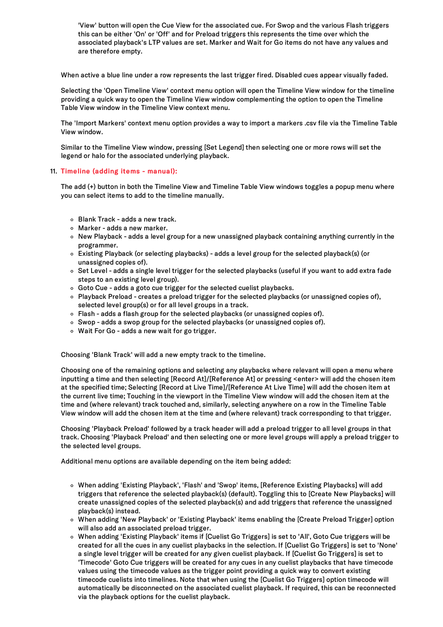'View' button will open the Cue View for the associated cue. For Swop and the various Flash triggers this can be either 'On' or 'Off' and for Preload triggers this represents the time over which the associated playback's LTP values are set. Marker and Wait for Go items do not have any values and are therefore empty.

When active a blue line under a row represents the last trigger fired. Disabled cues appear visually faded.

Selecting the 'Open Timeline View' context menu option will open the Timeline View window for the timeline providing a quick way to open the Timeline View window complementing the option to open the Timeline Table View window in the Timeline View context menu.

The 'Import Markers' context menu option provides a way to import a markers .csv file via the Timeline Table View window.

Similar to the Timeline View window, pressing [Set Legend] then selecting one or more rows willset the legend or halo for the associated underlying playback.

## 11. Timeline (adding items - manual):

The add (+) button in both the Timeline View and Timeline Table View windows toggles a popup menu where you can select items to add to the timeline manually.

- Blank Track adds a new track.
- Marker adds a new marker.
- New Playback adds a level group for a new unassigned playback containing anything currently in the programmer.
- Existing Playback (or selecting playbacks) adds a level group for the selected playback(s) (or unassigned copies of).
- Set Level adds a single level trigger for the selected playbacks (useful if you want to add extra fade steps to an existing level group).
- o Goto Cue adds a goto cue trigger for the selected cuelist playbacks.
- Playback Preload creates a preload trigger for the selected playbacks (or unassigned copies of), selected level group(s) or for all level groups in a track.
- Flash adds a flash group for the selected playbacks (or unassigned copies of).
- Swop adds a swop group for the selected playbacks (or unassigned copies of).
- Wait For Go adds a new wait for go trigger.

Choosing 'Blank Track' will add a new empty track to the timeline.

Choosing one of the remaining options and selecting any playbacks where relevant will open a menu where inputting a time and then selecting [Record At]/[Reference At] or pressing <enter> will add the chosen item at the specified time; Selecting [Record at Live Time]/[Reference At Live Time] will add the chosen item at the current live time; Touching in the viewport in the Timeline View window will add the chosen item at the time and (where relevant) track touched and, similarly, selecting anywhere on a row in the Timeline Table View window will add the chosen item at the time and (where relevant) track corresponding to that trigger.

Choosing 'Playback Preload' followed by a track header will add a preload trigger to all level groups in that track. Choosing 'Playback Preload' and then selecting one or more level groups will apply a preload trigger to the selected level groups.

Additional menu options are available depending on the item being added:

- When adding 'Existing Playback', 'Flash' and 'Swop' items, [Reference Existing Playbacks] will add triggers that reference the selected playback(s) (default). Toggling this to [Create New Playbacks] will create unassigned copies of the selected playback(s) and add triggers that reference the unassigned playback(s) instead.
- When adding 'New Playback' or 'Existing Playback' items enabling the [Create Preload Trigger] option will also add an associated preload trigger.
- When adding 'Existing Playback' items if [Cuelist Go Triggers] is set to 'All', Goto Cue triggers will be created for all the cues in any cuelist playbacks in the selection. If [Cuelist Go Triggers] is set to 'None' a single level trigger will be created for any given cuelist playback. If [Cuelist Go Triggers] is set to 'Timecode' Goto Cue triggers will be created for any cues in any cuelist playbacks that have timecode values using the timecode values as the trigger point providing a quick way to convert existing timecode cuelists into timelines. Note that when using the [Cuelist Go Triggers] option timecode will automatically be disconnected on the associated cuelist playback. If required, this can be reconnected via the playback options for the cuelist playback.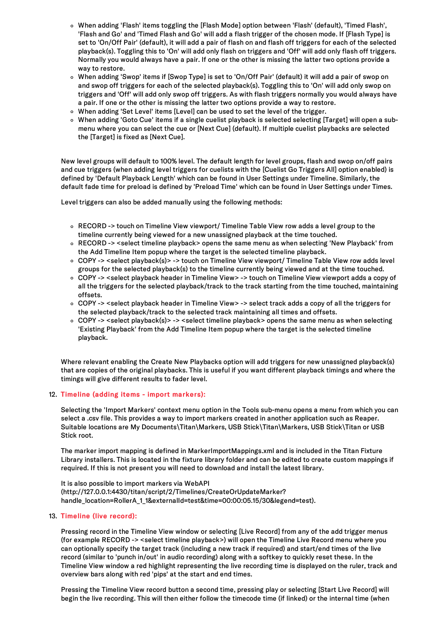- When adding 'Flash' items toggling the [Flash Mode] option between 'Flash' (default), 'Timed Flash', 'Flash and Go' and 'Timed Flash and Go' will add a flash trigger of the chosen mode. If [Flash Type] is set to 'On/Off Pair' (default), it will add a pair of flash on and flash off triggers for each of the selected playback(s). Toggling this to 'On' will add only flash on triggers and 'Off' will add only flash off triggers. Normally you would always have a pair. If one or the other is missing the latter two options provide a way to restore.
- When adding 'Swop' items if [Swop Type] is set to 'On/Off Pair' (default) it will add a pair of swop on and swop off triggers for each of the selected playback(s). Toggling this to 'On' will add only swop on triggers and 'Off' will add only swop off triggers. As with flash triggers normally you would always have a pair. If one or the other is missing the latter two options provide a way to restore.
- When adding 'Set Level' items [Level] can be used to set the level of the trigger.
- When adding 'Goto Cue' items if a single cuelist playback is selected selecting [Target] will open a submenu where you can select the cue or [Next Cue] (default). If multiple cuelist playbacks are selected the [Target] is fixed as [Next Cue].

New level groups will default to 100% level. The default length for level groups, flash and swop on/off pairs and cue triggers (when adding level triggers for cuelists with the [Cuelist Go Triggers All] option enabled) is defined by 'Default Playback Length' which can be found in User Settings under Timeline. Similarly, the default fade time for preload is defined by 'Preload Time' which can be found in User Settings under Times.

Level triggers can also be added manually using the following methods:

- RECORD -> touch on Timeline View viewport/ Timeline Table View row adds a level group to the timeline currently being viewed for a new unassigned playback at the time touched.
- RECORD -> <select timeline playback> opens the same menu as when selecting 'New Playback' from the Add Timeline Item popup where the target is the selected timeline playback.
- COPY -> <select playback(s)> -> touch on Timeline View viewport/ Timeline Table View row adds level groups for the selected playback(s) to the timeline currently being viewed and at the time touched.
- COPY -> <select playback header in Timeline View> -> touch on Timeline View viewport adds a copy of all the triggers for the selected playback/track to the track starting from the time touched, maintaining offsets.
- COPY -> <select playback header in Timeline View> -> select track adds a copy of all the triggers for the selected playback/track to the selected track maintaining all times and offsets.
- COPY -> <select playback(s)> -> <select timeline playback> opens the same menu as when selecting 'Existing Playback' from the Add Timeline Item popup where the target is the selected timeline playback.

Where relevant enabling the Create New Playbacks option will add triggers for new unassigned playback(s) that are copies of the original playbacks. This is useful if you want different playback timings and where the timings will give different results to fader level.

# 12. Timeline (adding items - import markers):

Selecting the 'Import Markers' context menu option in the Tools sub-menu opens a menu from which you can select a .csv file. This provides a way to import markers created in another application such as Reaper. Suitable locations are My Documents\Titan\Markers, USB Stick\Titan\Markers, USB Stick\Titan or USB Stick root.

The marker import mapping is defined in MarkerImportMappings.xml and is included in the Titan Fixture Library installers. This is located in the fixture library folder and can be edited to create custom mappings if required. If this is not present you will need to download and install the latest library.

It is also possible to import markers via WebAPI (http://127.0.0.1:4430/titan/script/2/Timelines/CreateOrUpdateMarker? handle\_location=RollerA\_1\_1&externalId=test&time=00:00:05.15/30&legend=test).

## 13. Timeline (live record):

Pressing record in the Timeline View window or selecting [Live Record] from any of the add trigger menus (for example RECORD -> <select timeline playback>) will open the Timeline Live Record menu where you can optionally specify the target track (including a new track if required) and start/end times of the live record (similar to 'punch in/out' in audio recording) along with a softkey to quickly reset these. In the Timeline View window a red highlight representing the live recording time is displayed on the ruler, track and overview bars along with red 'pips' at the start and end times.

Pressing the Timeline View record button a second time, pressing play or selecting [Start Live Record] will begin the live recording. This will then either follow the timecode time (if linked) or the internal time (when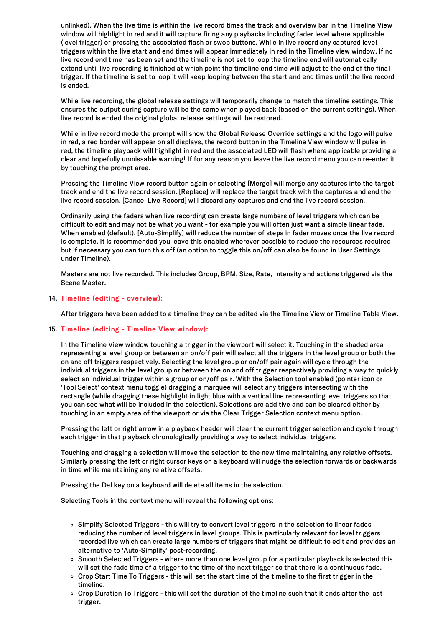unlinked). When the live time is within the live record times the track and overview bar in the Timeline View window will highlight in red and it will capture firing any playbacks including fader level where applicable (level trigger) or pressing the associated flash or swop buttons. While in live record any captured level triggers within the live start and end times will appear immediately in red in the Timeline view window. If no live record end time has been set and the timeline is not set to loop the timeline end will automatically extend until live recording is finished at which point the timeline end time will adjust to the end of the final trigger. If the timeline is set to loop it will keep looping between the start and end times until the live record is ended.

While live recording, the global release settings will temporarily change to match the timeline settings. This ensures the output during capture will be the same when played back (based on the current settings). When live record is ended the original global release settings will be restored.

While in live record mode the prompt will show the Global Release Override settings and the logo will pulse in red, a red border will appear on all displays, the record button in the Timeline View window will pulse in red, the timeline playback will highlight in red and the associated LED will flash where applicable providing a clear and hopefully unmissable warning! If for any reason you leave the live record menu you can re-enter it by touching the prompt area.

Pressing the Timeline View record button again or selecting [Merge] will merge any captures into the target track and end the live record session. [Replace] will replace the target track with the captures and end the live record session. [Cancel Live Record] will discard any captures and end the live record session.

Ordinarily using the faders when live recording can create large numbers of level triggers which can be difficult to edit and may not be what you want - for example you will often just want a simple linear fade. When enabled (default), [Auto-Simplify] will reduce the number of steps in fader moves once the live record is complete. It is recommended you leave this enabled wherever possible to reduce the resources required but if necessary you can turn this off (an option to toggle this on/off can also be found in User Settings under Timeline).

Masters are not live recorded. This includes Group, BPM, Size, Rate, Intensity and actions triggered via the Scene Master.

## 14. Timeline (editing - overview):

After triggers have been added to a timeline they can be edited via the Timeline View or Timeline Table View.

## 15. Timeline (editing - Timeline View window):

In the Timeline View window touching a trigger in the viewport willselect it. Touching in the shaded area representing a level group or between an on/off pair willselect all the triggers in the level group or both the on and off triggers respectively. Selecting the level group or on/off pair again will cycle through the individual triggers in the level group or between the on and off trigger respectively providing a way to quickly select an individual trigger within a group or on/off pair. With the Selection tool enabled (pointer icon or 'Tool Select' context menu toggle) dragging a marquee willselect any triggers intersecting with the rectangle (while dragging these highlight in light blue with a vertical line representing level triggers so that you can see what will be included in the selection). Selections are additive and can be cleared either by touching in an empty area of the viewport or via the Clear Trigger Selection context menu option.

Pressing the left or right arrow in a playback header will clear the current trigger selection and cycle through each trigger in that playback chronologically providing a way to select individual triggers.

Touching and dragging a selection will move the selection to the new time maintaining any relative offsets. Similarly pressing the left or right cursor keys on a keyboard will nudge the selection forwards or backwards in time while maintaining any relative offsets.

Pressing the Del key on a keyboard will delete all items in the selection.

Selecting Tools in the context menu will reveal the following options:

- Simplify Selected Triggers this will try to convert level triggers in the selection to linear fades reducing the number of level triggers in level groups. This is particularly relevant for level triggers recorded live which can create large numbers of triggers that might be difficult to edit and provides an alternative to 'Auto-Simplify' post-recording.
- $\circ$  Smooth Selected Triggers where more than one level group for a particular playback is selected this willset the fade time of a trigger to the time of the next trigger so that there is a continuous fade.
- o Crop Start Time To Triggers this will set the start time of the timeline to the first trigger in the timeline.
- o Crop Duration To Triggers this will set the duration of the timeline such that it ends after the last trigger.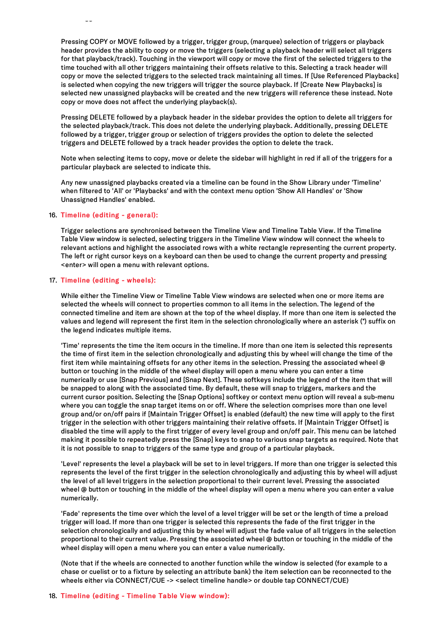Pressing COPY or MOVE followed by a trigger, trigger group, (marquee) selection of triggers or playback header provides the ability to copy or move the triggers (selecting a playback header willselect all triggers for that playback/track). Touching in the viewport will copy or move the first of the selected triggers to the time touched with all other triggers maintaining their offsets relative to this. Selecting a track header will copy or move the selected triggers to the selected track maintaining all times. If [Use Referenced Playbacks] is selected when copying the new triggers will trigger the source playback. If [Create New Playbacks] is selected new unassigned playbacks will be created and the new triggers will reference these instead. Note copy or move does not affect the underlying playback(s).

Pressing DELETE followed by a playback header in the sidebar provides the option to delete all triggers for the selected playback/track. This does not delete the underlying playback. Additionally, pressing DELETE followed by a trigger, trigger group or selection of triggers provides the option to delete the selected triggers and DELETE followed by a track header provides the option to delete the track.

Note when selecting items to copy, move or delete the sidebar will highlight in red if all of the triggers for a particular playback are selected to indicate this.

Any new unassigned playbacks created via a timeline can be found in the Show Library under 'Timeline' when filtered to 'All' or 'Playbacks' and with the context menu option 'Show All Handles' or 'Show Unassigned Handles' enabled.

## 16. Timeline (editing - general):

trigger.

Trigger selections are synchronised between the Timeline View and Timeline Table View. If the Timeline Table View window is selected, selecting triggers in the Timeline View window will connect the wheels to relevant actions and highlight the associated rows with a white rectangle representing the current property. The left or right cursor keys on a keyboard can then be used to change the current property and pressing <enter> will open a menu with relevant options.

## 17. Timeline (editing - wheels):

While either the Timeline View or Timeline Table View windows are selected when one or more items are selected the wheels will connect to properties common to all items in the selection. The legend of the connected timeline and item are shown at the top of the wheel display. If more than one item is selected the values and legend will represent the first item in the selection chronologically where an asterisk (\*) suffix on the legend indicates multiple items.

'Time' represents the time the item occurs in the timeline. If more than one item is selected this represents the time of first item in the selection chronologically and adjusting this by wheel will change the time of the first item while maintaining offsets for any other items in the selection. Pressing the associated wheel @ button or touching in the middle of the wheel display will open a menu where you can enter a time numerically or use [Snap Previous] and [Snap Next]. These softkeys include the legend of the item that will be snapped to along with the associated time. By default, these willsnap to triggers, markers and the current cursor position. Selecting the [Snap Options]softkey or context menu option will reveal a sub-menu where you can toggle the snap target items on or off. Where the selection comprises more than one level group and/or on/off pairs if [Maintain Trigger Offset] is enabled (default) the new time will apply to the first trigger in the selection with other triggers maintaining their relative offsets. If [Maintain Trigger Offset] is disabled the time will apply to the first trigger of every level group and on/off pair. This menu can be latched making it possible to repeatedly press the [Snap] keys to snap to various snap targets as required. Note that it is not possible to snap to triggers of the same type and group of a particular playback.

'Level' represents the level a playback will be set to in level triggers. If more than one trigger is selected this represents the level of the first trigger in the selection chronologically and adjusting this by wheel will adjust the level of all level triggers in the selection proportional to their current level. Pressing the associated wheel @ button or touching in the middle of the wheel display will open a menu where you can enter a value numerically.

'Fade' represents the time over which the level of a level trigger will be set or the length of time a preload trigger will load. If more than one trigger is selected this represents the fade of the first trigger in the selection chronologically and adjusting this by wheel will adjust the fade value of all triggers in the selection proportional to their current value. Pressing the associated wheel @ button or touching in the middle of the wheel display will open a menu where you can enter a value numerically.

(Note that if the wheels are connected to another function while the window is selected (for example to a chase or cuelist or to a fixture by selecting an attribute bank) the item selection can be reconnected to the wheels either via CONNECT/CUE -> <select timeline handle> or double tap CONNECT/CUE)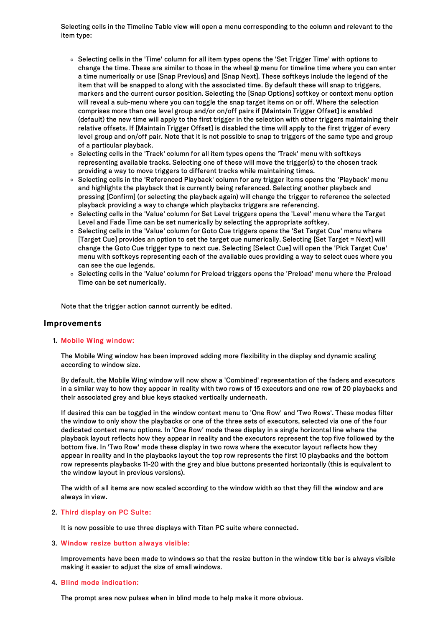Selecting cells in the Timeline Table view will open a menu corresponding to the column and relevant to the item type:

- o Selecting cells in the 'Time' column for all item types opens the 'Set Trigger Time' with options to change the time. These are similar to those in the wheel @ menu for timeline time where you can enter a time numerically or use [Snap Previous] and [Snap Next]. These softkeys include the legend of the item that will be snapped to along with the associated time. By default these will snap to triggers, markers and the current cursor position. Selecting the [Snap Options] softkey or context menu option will reveal a sub-menu where you can toggle the snap target items on or off. Where the selection comprises more than one level group and/or on/off pairs if [Maintain Trigger Offset] is enabled (default) the new time will apply to the first trigger in the selection with other triggers maintaining their relative offsets. If [Maintain Trigger Offset] is disabled the time will apply to the first trigger of every level group and on/off pair. Note that it is not possible to snap to triggers of the same type and group of a particular playback.
- $\circ$  Selecting cells in the 'Track' column for all item types opens the 'Track' menu with softkeys representing available tracks. Selecting one of these will move the trigger(s) to the chosen track providing a way to move triggers to different tracks while maintaining times.
- Selecting cells in the 'Referenced Playback' column for any trigger items opens the 'Playback' menu and highlights the playback that is currently being referenced. Selecting another playback and pressing [Confirm] (or selecting the playback again) will change the trigger to reference the selected playback providing a way to change which playbacks triggers are referencing.
- o Selecting cells in the 'Value' column for Set Level triggers opens the 'Level' menu where the Target Level and Fade Time can be set numerically by selecting the appropriate softkey.
- o Selecting cells in the 'Value' column for Goto Cue triggers opens the 'Set Target Cue' menu where [Target Cue] provides an option to set the target cue numerically. Selecting [Set Target = Next] will change the Goto Cue trigger type to next cue. Selecting [Select Cue] will open the 'Pick Target Cue' menu with softkeys representing each of the available cues providing a way to select cues where you can see the cue legends.
- o Selecting cells in the 'Value' column for Preload triggers opens the 'Preload' menu where the Preload Time can be set numerically.

Note that the trigger action cannot currently be edited.

# Improvements

## 1. Mobile Wing window:

The Mobile Wing window has been improved adding more flexibility in the display and dynamic scaling according to window size.

By default, the Mobile Wing window will now show a 'Combined' representation of the faders and executors in a similar way to how they appear in reality with two rows of 15 executors and one row of 20 playbacks and their associated grey and blue keys stacked vertically underneath.

If desired this can be toggled in the window context menu to 'One Row' and 'Two Rows'. These modes filter the window to only show the playbacks or one of the three sets of executors, selected via one of the four dedicated context menu options. In 'One Row' mode these display in a single horizontal line where the playback layout reflects how they appear in reality and the executors represent the top five followed by the bottom five. In 'Two Row' mode these display in two rows where the executor layout reflects how they appear in reality and in the playbacks layout the top row represents the first 10 playbacks and the bottom row represents playbacks 11-20 with the grey and blue buttons presented horizontally (this is equivalent to the window layout in previous versions).

The width of all items are now scaled according to the window width so that they fill the window and are always in view.

## 2. Third display on PC Suite:

It is now possible to use three displays with Titan PC suite where connected.

## 3. Window resize button always visible:

Improvements have been made to windows so that the resize button in the window title bar is always visible making it easier to adjust the size of small windows.

#### 4. Blind mode indication:

The prompt area now pulses when in blind mode to help make it more obvious.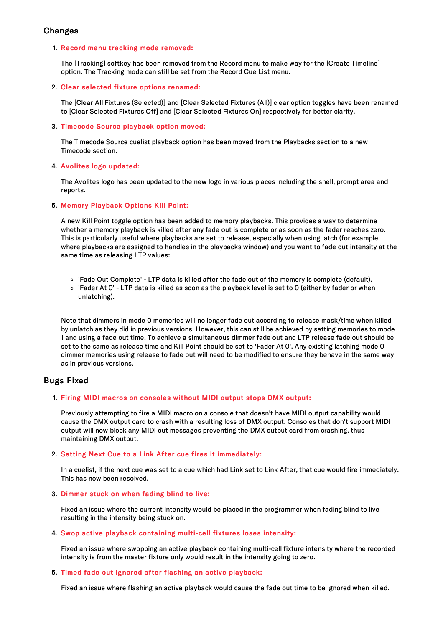# Changes

## 1. Record menu tracking mode removed:

The [Tracking] softkey has been removed from the Record menu to make way for the [Create Timeline] option. The Tracking mode can still be set from the Record Cue List menu.

## 2. Clear selected fixture options renamed:

The [Clear All Fixtures (Selected)] and [Clear Selected Fixtures (All)] clear option toggles have been renamed to [Clear Selected Fixtures Off] and [Clear Selected Fixtures On] respectively for better clarity.

## 3. Timecode Source playback option moved:

The Timecode Source cuelist playback option has been moved from the Playbacks section to a new Timecode section.

## 4. Avolites logo updated:

The Avolites logo has been updated to the new logo in various places including the shell, prompt area and reports.

## 5. Memory Playback Options Kill Point:

A new Kill Point toggle option has been added to memory playbacks. This provides a way to determine whether a memory playback is killed after any fade out is complete or as soon as the fader reaches zero. This is particularly useful where playbacks are set to release, especially when using latch (for example where playbacks are assigned to handles in the playbacks window) and you want to fade out intensity at the same time as releasing LTP values:

- 'Fade Out Complete' LTP data is killed after the fade out of the memory is complete (default).
- 'Fader At 0' LTP data is killed as soon as the playback level is set to 0 (either by fader or when unlatching).

Note that dimmers in mode 0 memories will no longer fade out according to release mask/time when killed by unlatch as they did in previous versions. However, this can still be achieved by setting memories to mode 1 and using a fade out time. To achieve a simultaneous dimmer fade out and LTP release fade out should be set to the same as release time and Kill Point should be set to 'Fader At 0'. Any existing latching mode 0 dimmer memories using release to fade out will need to be modified to ensure they behave in the same way as in previous versions.

# Bugs Fixed

# 1. Firing MIDI macros on consoles without MIDI output stops DMX output:

Previously attempting to fire a MIDI macro on a console that doesn't have MIDI output capability would cause the DMX output card to crash with a resulting loss of DMX output. Consoles that don't support MIDI output will now block any MIDI out messages preventing the DMX output card from crashing, thus maintaining DMX output.

# 2. Setting Next Cue to a Link After cue fires it immediately:

In a cuelist, if the next cue was set to a cue which had Link set to Link After, that cue would fire immediately. This has now been resolved.

# 3. Dimmer stuck on when fading blind to live:

Fixed an issue where the current intensity would be placed in the programmer when fading blind to live resulting in the intensity being stuck on.

## 4. Swop active playback containing multi-cell fixtures loses intensity:

Fixed an issue where swopping an active playback containing multi-cell fixture intensity where the recorded intensity is from the master fixture only would result in the intensity going to zero.

## 5. Timed fade out ignored after flashing an active playback:

Fixed an issue where flashing an active playback would cause the fade out time to be ignored when killed.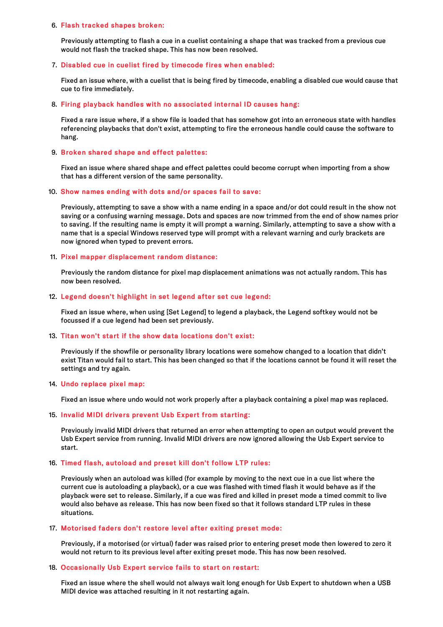#### 6. Flash tracked shapes broken:

Previously attempting to flash a cue in a cuelist containing a shape that was tracked from a previous cue would not flash the tracked shape. This has now been resolved.

### 7. Disabled cue in cuelist fired by timecode fires when enabled:

Fixed an issue where, with a cuelist that is being fired by timecode, enabling a disabled cue would cause that cue to fire immediately.

### 8. Firing playback handles with no associated internal ID causes hang:

Fixed a rare issue where, if a show file is loaded that has somehow got into an erroneous state with handles referencing playbacks that don't exist, attempting to fire the erroneous handle could cause the software to hang.

### 9. Broken shared shape and effect palettes:

Fixed an issue where shared shape and effect palettes could become corrupt when importing from a show that has a different version of the same personality.

#### 10. Show names ending with dots and/or spaces fail to save:

Previously, attempting to save a show with a name ending in a space and/or dot could result in the show not saving or a confusing warning message. Dots and spaces are now trimmed from the end of show names prior to saving. If the resulting name is empty it will prompt a warning. Similarly, attempting to save a show with a name that is a special Windows reserved type will prompt with a relevant warning and curly brackets are now ignored when typed to prevent errors.

## 11. Pixel mapper displacement random distance:

Previously the random distance for pixel map displacement animations was not actually random. This has now been resolved.

## 12. Legend doesn't highlight in set legend after set cue legend:

Fixed an issue where, when using [Set Legend] to legend a playback, the Legend softkey would not be focussed if a cue legend had been set previously.

## 13. Titan won't start if the show data locations don't exist:

Previously if the showfile or personality library locations were somehow changed to a location that didn't exist Titan would fail to start. This has been changed so that if the locations cannot be found it will reset the settings and try again.

#### 14. Undo replace pixel map:

Fixed an issue where undo would not work properly after a playback containing a pixel map was replaced.

## 15. Invalid MIDI drivers prevent Usb Expert from starting:

Previously invalid MIDI drivers that returned an error when attempting to open an output would prevent the Usb Expert service from running. Invalid MIDI drivers are now ignored allowing the Usb Expert service to start.

## 16. Timed flash, autoload and preset kill don't follow LTP rules:

Previously when an autoload was killed (for example by moving to the next cue in a cue list where the current cue is autoloading a playback), or a cue was flashed with timed flash it would behave as if the playback were set to release. Similarly, if a cue was fired and killed in preset mode a timed commit to live would also behave as release. This has now been fixed so that it follows standard LTP rules in these situations.

## 17. Motorised faders don't restore level after exiting preset mode:

Previously, if a motorised (or virtual) fader was raised prior to entering preset mode then lowered to zero it would not return to its previous level after exiting preset mode. This has now been resolved.

## 18. Occasionally Usb Expert service fails to start on restart:

Fixed an issue where the shell would not always wait long enough for Usb Expert to shutdown when a USB MIDI device was attached resulting in it not restarting again.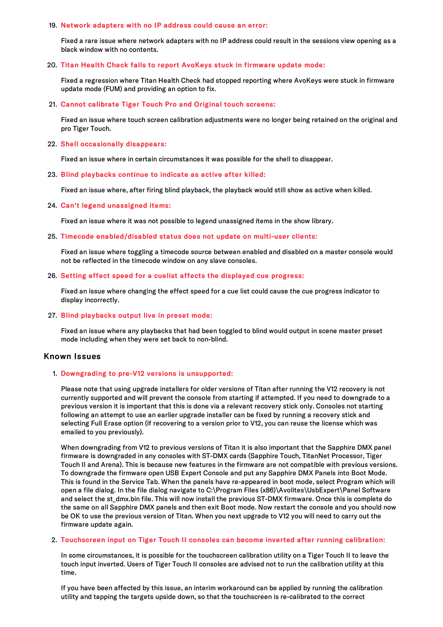#### 19. Network adapters with no IP address could cause an error:

Fixed a rare issue where network adapters with no IP address could result in the sessions view opening as a black window with no contents.

## 20. Titan Health Check fails to report AvoKeys stuck in firmware update mode:

Fixed a regression where Titan Health Check had stopped reporting where AvoKeys were stuck in firmware update mode (FUM) and providing an option to fix.

### 21. Cannot calibrate Tiger Touch Pro and Original touch screens:

Fixed an issue where touch screen calibration adjustments were no longer being retained on the original and pro Tiger Touch.

#### 22. Shell occasionally disappears:

Fixed an issue where in certain circumstances it was possible for the shell to disappear.

#### 23. Blind playbacks continue to indicate as active after killed:

Fixed an issue where, after firing blind playback, the playback would still show as active when killed.

#### 24. Can't legend unassigned items:

Fixed an issue where it was not possible to legend unassigned items in the show library.

#### 25. Timecode enabled/disabled status does not update on multi-user clients:

Fixed an issue where toggling a timecode source between enabled and disabled on a master console would not be reflected in the timecode window on any slave consoles.

### 26. Setting effect speed for a cuelist affects the displayed cue progress:

Fixed an issue where changing the effect speed for a cue list could cause the cue progress indicator to display incorrectly.

#### 27. Blind playbacks output live in preset mode:

Fixed an issue where any playbacks that had been toggled to blind would output in scene master preset mode including when they were set back to non-blind.

# Known Issues

## 1. Downgrading to pre-V12 versions is unsupported:

Please note that using upgrade installers for older versions of Titan after running the V12 recovery is not currently supported and will prevent the console from starting if attempted. If you need to downgrade to a previous version it is important that this is done via a relevant recovery stick only. Consoles not starting following an attempt to use an earlier upgrade installer can be fixed by running a recovery stick and selecting Full Erase option (if recovering to a version prior to V12, you can reuse the license which was emailed to you previously).

When downgrading from V12 to previous versions of Titan it is also important that the Sapphire DMX panel firmware is downgraded in any consoles with ST-DMX cards (Sapphire Touch, TitanNet Processor, Tiger Touch II and Arena). This is because new features in the firmware are not compatible with previous versions. To downgrade the firmware open USB Expert Console and put any Sapphire DMX Panels into Boot Mode. This is found in the Service Tab. When the panels have re-appeared in boot mode, select Program which will open a file dialog. In the file dialog navigate to C:\Program Files (x86)\Avolites\UsbExpert\Panel Software and select the st\_dmx.bin file. This will now install the previous ST-DMX firmware. Once this is complete do the same on all Sapphire DMX panels and then exit Boot mode. Now restart the console and you should now be OK to use the previous version of Titan. When you next upgrade to V12 you will need to carry out the firmware update again.

#### 2. Touchscreen input on Tiger Touch II consoles can become inverted after running calibration:

In some circumstances, it is possible for the touchscreen calibration utility on a Tiger Touch II to leave the touch input inverted. Users of Tiger Touch II consoles are advised not to run the calibration utility at this time.

If you have been affected by this issue, an interim workaround can be applied by running the calibration utility and tapping the targets upside down, so that the touchscreen is re-calibrated to the correct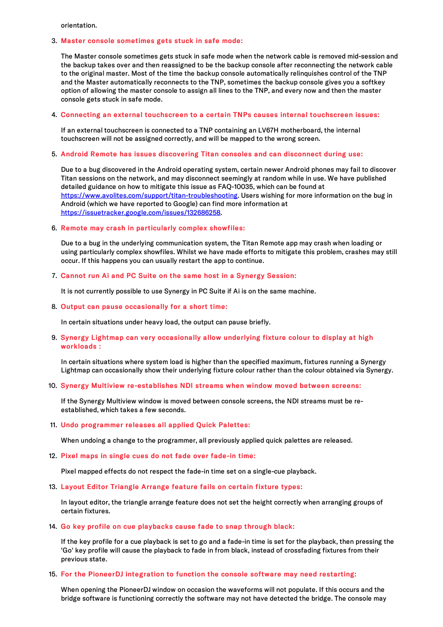orientation.

#### 3. Master console sometimes gets stuck in safe mode:

The Master console sometimes gets stuck in safe mode when the network cable is removed mid-session and the backup takes over and then reassigned to be the backup console after reconnecting the network cable to the original master. Most of the time the backup console automatically relinquishes control of the TNP and the Master automatically reconnects to the TNP, sometimes the backup console gives you a softkey option of allowing the master console to assign all lines to the TNP, and every now and then the master console gets stuck in safe mode.

# 4. Connecting an external touchscreen to a certain TNPs causes internal touchscreen issues:

If an external touchscreen is connected to a TNP containing an LV67H motherboard, the internal touchscreen will not be assigned correctly, and will be mapped to the wrong screen.

### 5. Android Remote has issues discovering Titan consoles and can disconnect during use:

Due to a bug discovered in the Android operating system, certain newer Android phones may fail to discover Titan sessions on the network, and may disconnect seemingly at random while in use. We have published detailed guidance on how to mitigate this issue as FAQ-10035, which can be found at <https://www.avolites.com/support/titan-troubleshooting>. Users wishing for more information on the bug in Android (which we have reported to Google) can find more information at <https://issuetracker.google.com/issues/132686258>.

#### 6. Remote may crash in particularly complex showfiles:

Due to a bug in the underlying communication system, the Titan Remote app may crash when loading or using particularly complex showfiles. Whilst we have made efforts to mitigate this problem, crashes may still occur. If this happens you can usually restart the app to continue.

#### 7. Cannot run Ai and PC Suite on the same host in a Synergy Session:

It is not currently possible to use Synergy in PC Suite if Ai is on the same machine.

8. Output can pause occasionally for a short time:

In certain situations under heavy load, the output can pause briefly.

## 9. Synergy Lightmap can very occasionally allow underlying fixture colour to display at high workloads :

In certain situations where system load is higher than the specified maximum, fixtures running a Synergy Lightmap can occasionally show their underlying fixture colour rather than the colour obtained via Synergy.

## 10. Synergy Multiview re-establishes NDI streams when window moved between screens:

If the Synergy Multiview window is moved between console screens, the NDI streams must be reestablished, which takes a few seconds.

#### 11. Undo programmer releases all applied Quick Palettes:

When undoing a change to the programmer, all previously applied quick palettes are released.

12. Pixel maps in single cues do not fade over fade-in time:

Pixel mapped effects do not respect the fade-in time set on a single-cue playback.

### 13. Layout Editor Triangle Arrange feature fails on certain fixture types:

In layout editor, the triangle arrange feature does not set the height correctly when arranging groups of certain fixtures.

#### 14. Go key profile on cue playbacks cause fade to snap through black:

If the key profile for a cue playback is set to go and a fade-in time is set for the playback, then pressing the 'Go' key profile will cause the playback to fade in from black, instead of crossfading fixtures from their previous state.

## 15. For the PioneerDJ integration to function the console software may need restarting:

When opening the PioneerDJ window on occasion the waveforms will not populate. If this occurs and the bridge software is functioning correctly the software may not have detected the bridge. The console may